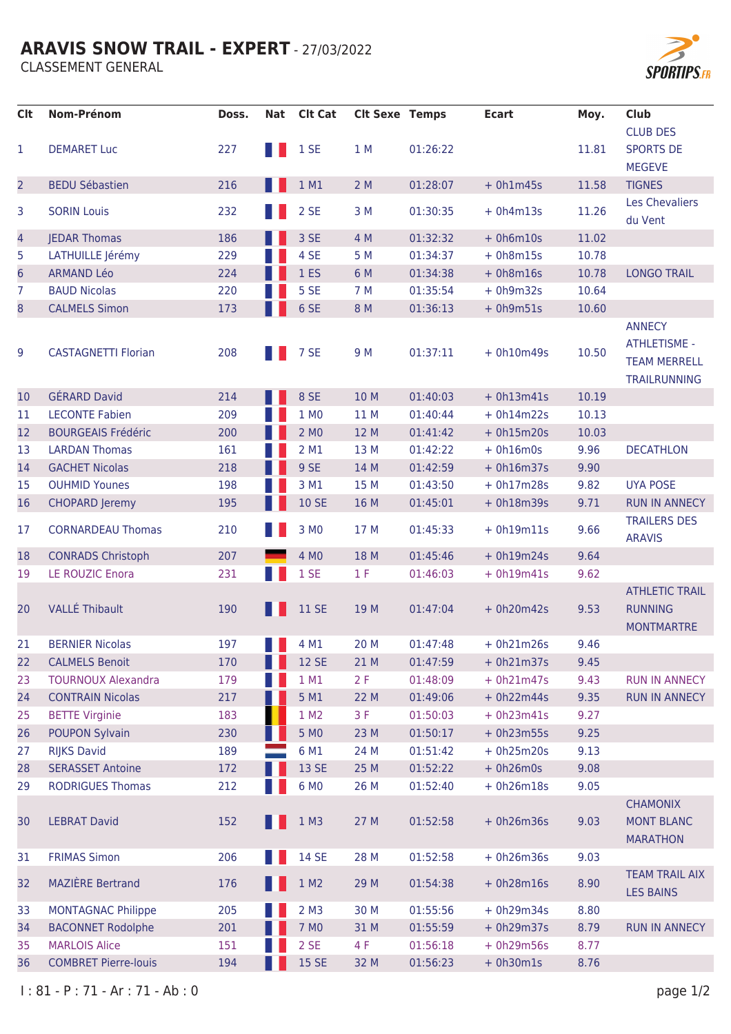### **ARAVIS SNOW TRAIL - EXPERT - 27/03/2022**

**CLASSEMENT GENERAL** 



| <b>Clt</b>     | <b>Nom-Prénom</b>           | Doss. | Nat | <b>Clt Cat</b>  | <b>Clt Sexe Temps</b> |          | <b>Ecart</b> | Moy.  | <b>Club</b>                                                                        |
|----------------|-----------------------------|-------|-----|-----------------|-----------------------|----------|--------------|-------|------------------------------------------------------------------------------------|
|                |                             |       |     |                 |                       |          |              |       | <b>CLUB DES</b>                                                                    |
| 1              | <b>DEMARET Luc</b>          | 227   | H.  | 1 SE            | 1 M                   | 01:26:22 |              | 11.81 | <b>SPORTS DE</b><br><b>MEGEVE</b>                                                  |
| $\overline{2}$ | <b>BEDU Sébastien</b>       | 216   |     | 1 M1            | 2M                    | 01:28:07 | $+ 0h1m45s$  | 11.58 | <b>TIGNES</b>                                                                      |
| 3              | <b>SORIN Louis</b>          | 232   |     | 2 SE            | 3M                    | 01:30:35 | $+ 0h4m13s$  | 11.26 | Les Chevaliers<br>du Vent                                                          |
| 4              | <b>JEDAR Thomas</b>         | 186   |     | 3 SE            | 4 M                   | 01:32:32 | $+ 0h6m10s$  | 11.02 |                                                                                    |
| 5              | LATHUILLE Jérémy            | 229   |     | 4 SE            | 5 M                   | 01:34:37 | $+ 0h8m15s$  | 10.78 |                                                                                    |
| 6              | <b>ARMAND Léo</b>           | 224   |     | 1 <sub>ES</sub> | 6 M                   | 01:34:38 | $+ 0h8m16s$  | 10.78 | <b>LONGO TRAIL</b>                                                                 |
| 7              | <b>BAUD Nicolas</b>         | 220   |     | 5 SE            | 7 M                   | 01:35:54 | $+ 0h9m32s$  | 10.64 |                                                                                    |
| 8              | <b>CALMELS Simon</b>        | 173   |     | 6 SE            | 8 M                   | 01:36:13 | $+ 0h9m51s$  | 10.60 |                                                                                    |
| 9              | <b>CASTAGNETTI Florian</b>  | 208   |     | 7 SE            | 9 M                   | 01:37:11 | $+ 0h10m49s$ | 10.50 | <b>ANNECY</b><br><b>ATHLETISME -</b><br><b>TEAM MERRELL</b><br><b>TRAILRUNNING</b> |
| 10             | <b>GÉRARD David</b>         | 214   |     | 8 SE            | 10 M                  | 01:40:03 | $+ 0h13m41s$ | 10.19 |                                                                                    |
| 11             | <b>LECONTE Fabien</b>       | 209   |     | 1 MO            | 11 M                  | 01:40:44 | $+ 0h14m22s$ | 10.13 |                                                                                    |
| 12             | <b>BOURGEAIS Frédéric</b>   | 200   |     | 2 MO            | 12 M                  | 01:41:42 | $+ 0h15m20s$ | 10.03 |                                                                                    |
| 13             | <b>LARDAN Thomas</b>        | 161   |     | 2 M1            | 13 M                  | 01:42:22 | $+ 0h16m0s$  | 9.96  | <b>DECATHLON</b>                                                                   |
| 14             | <b>GACHET Nicolas</b>       | 218   |     | 9 SE            | 14 M                  | 01:42:59 | $+ 0h16m37s$ | 9.90  |                                                                                    |
| 15             | <b>OUHMID Younes</b>        | 198   |     | 3 M1            | 15 M                  | 01:43:50 | $+ 0h17m28s$ | 9.82  | <b>UYA POSE</b>                                                                    |
| 16             | <b>CHOPARD Jeremy</b>       | 195   |     | <b>10 SE</b>    | 16 M                  | 01:45:01 | $+ 0h18m39s$ | 9.71  | <b>RUN IN ANNECY</b>                                                               |
| 17             | <b>CORNARDEAU Thomas</b>    | 210   |     | 3 MO            | 17 M                  | 01:45:33 | $+ 0h19m11s$ | 9.66  | <b>TRAILERS DES</b><br><b>ARAVIS</b>                                               |
| 18             | <b>CONRADS Christoph</b>    | 207   |     | 4 MO            | 18 M                  | 01:45:46 | $+ 0h19m24s$ | 9.64  |                                                                                    |
| 19             | <b>LE ROUZIC Enora</b>      | 231   |     | 1 SE            | 1 F                   | 01:46:03 | $+ 0h19m41s$ | 9.62  |                                                                                    |
| 20             | <b>VALLÉ Thibault</b>       | 190   |     | <b>11 SE</b>    | 19 M                  | 01:47:04 | $+ 0h20m42s$ | 9.53  | <b>ATHLETIC TRAIL</b><br><b>RUNNING</b><br><b>MONTMARTRE</b>                       |
| 21             | <b>BERNIER Nicolas</b>      | 197   |     | 4 M1            | 20 M                  | 01:47:48 | $+ 0h21m26s$ | 9.46  |                                                                                    |
| 22             | <b>CALMELS Benoit</b>       | 170   |     | <b>12 SE</b>    | 21 M                  | 01:47:59 | $+ 0h21m37s$ | 9.45  |                                                                                    |
| 23             | <b>TOURNOUX Alexandra</b>   | 179   |     | 1 M1            | 2F                    | 01:48:09 | $+ 0h21m47s$ | 9.43  | <b>RUN IN ANNECY</b>                                                               |
| 24             | <b>CONTRAIN Nicolas</b>     | 217   |     | 5 M1            | 22 M                  | 01:49:06 | $+ 0h22m44s$ | 9.35  | <b>RUN IN ANNECY</b>                                                               |
| 25             | <b>BETTE Virginie</b>       | 183   |     | 1 M2            | 3F                    | 01:50:03 | $+ 0h23m41s$ | 9.27  |                                                                                    |
| 26             | <b>POUPON Sylvain</b>       | 230   |     | 5 MO            | 23 M                  | 01:50:17 | $+ 0h23m55s$ | 9.25  |                                                                                    |
| 27             | <b>RIJKS David</b>          | 189   |     | 6 M1            | 24 M                  | 01:51:42 | $+ 0h25m20s$ | 9.13  |                                                                                    |
| 28             | <b>SERASSET Antoine</b>     | 172   |     | 13 SE           | 25 M                  | 01:52:22 | $+ 0h26m0s$  | 9.08  |                                                                                    |
| 29             | <b>RODRIGUES Thomas</b>     | 212   |     | 6 MO            | 26 M                  | 01:52:40 | $+ 0h26m18s$ | 9.05  |                                                                                    |
| 30             | <b>LEBRAT David</b>         | 152   |     | 1 M3            | 27 M                  | 01:52:58 | $+ 0h26m36s$ | 9.03  | <b>CHAMONIX</b><br><b>MONT BLANC</b><br><b>MARATHON</b>                            |
| 31             | <b>FRIMAS Simon</b>         | 206   |     | <b>14 SE</b>    | 28 M                  | 01:52:58 | $+ 0h26m36s$ | 9.03  |                                                                                    |
| 32             | <b>MAZIÈRE Bertrand</b>     | 176   |     | 1 M2            | 29 M                  | 01:54:38 | $+ 0h28m16s$ | 8.90  | <b>TEAM TRAIL AIX</b><br><b>LES BAINS</b>                                          |
| 33             | <b>MONTAGNAC Philippe</b>   | 205   |     | 2 M3            | 30 M                  | 01:55:56 | $+ 0h29m34s$ | 8.80  |                                                                                    |
| 34             | <b>BACONNET Rodolphe</b>    | 201   |     | 7 MO            | 31 M                  | 01:55:59 | $+ 0h29m37s$ | 8.79  | <b>RUN IN ANNECY</b>                                                               |
| 35             | <b>MARLOIS Alice</b>        | 151   |     | 2 SE            | 4 F                   | 01:56:18 | $+ 0h29m56s$ | 8.77  |                                                                                    |
| 36             | <b>COMBRET Pierre-louis</b> | 194   |     | <b>15 SE</b>    | 32 M                  | 01:56:23 | $+ 0h30m1s$  | 8.76  |                                                                                    |
|                |                             |       |     |                 |                       |          |              |       |                                                                                    |

 $1: 81 - P : 71 - Ar : 71 - Ab : 0$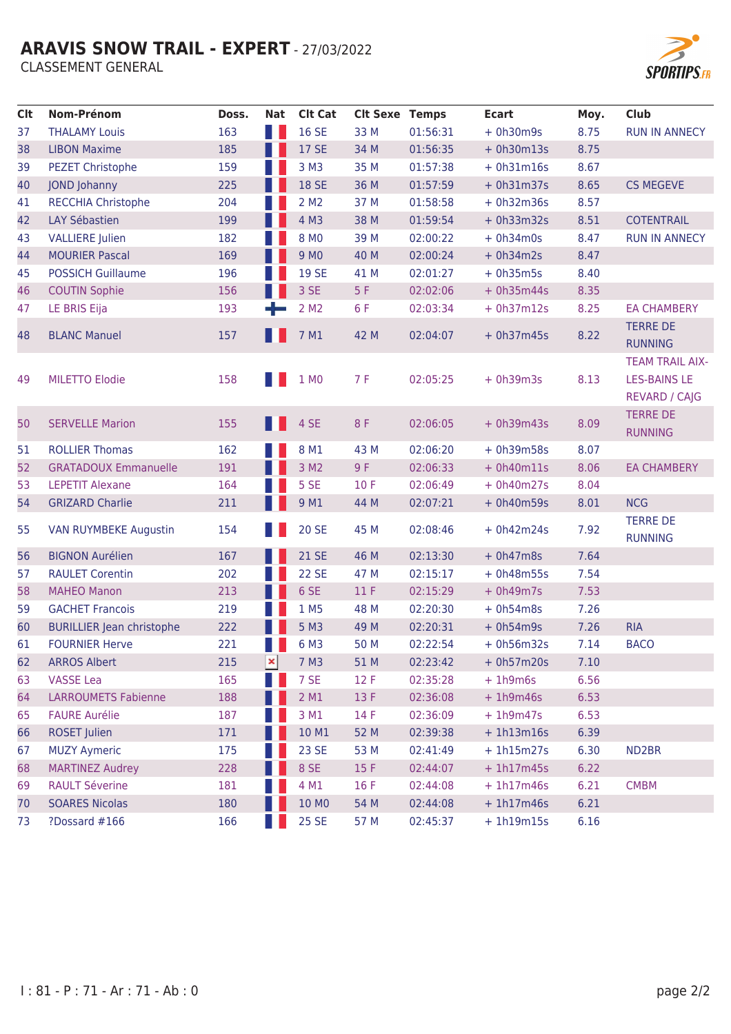# **ARAVIS SNOW TRAIL - EXPERT - 27/03/2022**

**CLASSEMENT GENERAL** 



| <b>Clt</b> | <b>Nom-Prénom</b>                | Doss. | Nat            | <b>Clt Cat</b>   | <b>Clt Sexe Temps</b> |          | <b>Ecart</b> | Moy. | <b>Club</b>                                                           |
|------------|----------------------------------|-------|----------------|------------------|-----------------------|----------|--------------|------|-----------------------------------------------------------------------|
| 37         | <b>THALAMY Louis</b>             | 163   |                | <b>16 SE</b>     | 33 M                  | 01:56:31 | $+ 0h30m9s$  | 8.75 | <b>RUN IN ANNECY</b>                                                  |
| 38         | <b>LIBON Maxime</b>              | 185   |                | <b>17 SE</b>     | 34 M                  | 01:56:35 | $+ 0h30m13s$ | 8.75 |                                                                       |
| 39         | <b>PEZET Christophe</b>          | 159   |                | 3 M3             | 35 M                  | 01:57:38 | $+ 0h31m16s$ | 8.67 |                                                                       |
| 40         | <b>JOND Johanny</b>              | 225   |                | <b>18 SE</b>     | 36 M                  | 01:57:59 | $+ 0h31m37s$ | 8.65 | <b>CS MEGEVE</b>                                                      |
| 41         | <b>RECCHIA Christophe</b>        | 204   |                | 2 M <sub>2</sub> | 37 M                  | 01:58:58 | $+ 0h32m36s$ | 8.57 |                                                                       |
| 42         | <b>LAY Sébastien</b>             | 199   |                | 4 M3             | 38 M                  | 01:59:54 | $+ 0h33m32s$ | 8.51 | <b>COTENTRAIL</b>                                                     |
| 43         | <b>VALLIERE</b> Julien           | 182   |                | 8 MO             | 39 M                  | 02:00:22 | $+ 0h34m0s$  | 8.47 | <b>RUN IN ANNECY</b>                                                  |
| 44         | <b>MOURIER Pascal</b>            | 169   |                | 9 MO             | 40 M                  | 02:00:24 | $+ 0h34m2s$  | 8.47 |                                                                       |
| 45         | <b>POSSICH Guillaume</b>         | 196   |                | 19 SE            | 41 M                  | 02:01:27 | $+ 0h35m5s$  | 8.40 |                                                                       |
| 46         | <b>COUTIN Sophie</b>             | 156   |                | 3 SE             | 5F                    | 02:02:06 | $+ 0h35m44s$ | 8.35 |                                                                       |
| 47         | LE BRIS Eija                     | 193   |                | 2 M <sub>2</sub> | 6 F                   | 02:03:34 | $+ 0h37m12s$ | 8.25 | <b>EA CHAMBERY</b>                                                    |
| 48         | <b>BLANC Manuel</b>              | 157   |                | 7 M1             | 42 M                  | 02:04:07 | $+ 0h37m45s$ | 8.22 | <b>TERRE DE</b><br><b>RUNNING</b>                                     |
| 49         | <b>MILETTO Elodie</b>            | 158   |                | 1 MO             | 7 F                   | 02:05:25 | $+ 0h39m3s$  | 8.13 | <b>TEAM TRAIL AIX-</b><br><b>LES-BAINS LE</b><br><b>REVARD / CAJG</b> |
| 50         | <b>SERVELLE Marion</b>           | 155   |                | 4 SE             | 8 F                   | 02:06:05 | $+ 0h39m43s$ | 8.09 | <b>TERRE DE</b><br><b>RUNNING</b>                                     |
| 51         | <b>ROLLIER Thomas</b>            | 162   |                | 8 M1             | 43 M                  | 02:06:20 | $+ 0h39m58s$ | 8.07 |                                                                       |
| 52         | <b>GRATADOUX Emmanuelle</b>      | 191   |                | 3 M <sub>2</sub> | 9 F                   | 02:06:33 | $+ 0h40m11s$ | 8.06 | <b>EA CHAMBERY</b>                                                    |
| 53         | <b>LEPETIT Alexane</b>           | 164   |                | 5 SE             | 10 F                  | 02:06:49 | $+ 0h40m27s$ | 8.04 |                                                                       |
| 54         | <b>GRIZARD Charlie</b>           | 211   |                | 9 M1             | 44 M                  | 02:07:21 | $+ 0h40m59s$ | 8.01 | <b>NCG</b>                                                            |
| 55         | <b>VAN RUYMBEKE Augustin</b>     | 154   |                | <b>20 SE</b>     | 45 M                  | 02:08:46 | $+ 0h42m24s$ | 7.92 | <b>TERRE DE</b><br><b>RUNNING</b>                                     |
| 56         | <b>BIGNON Aurélien</b>           | 167   |                | <b>21 SE</b>     | 46 M                  | 02:13:30 | $+ 0h47m8s$  | 7.64 |                                                                       |
| 57         | <b>RAULET Corentin</b>           | 202   |                | <b>22 SE</b>     | 47 M                  | 02:15:17 | $+ 0h48m55s$ | 7.54 |                                                                       |
| 58         | <b>MAHEO Manon</b>               | 213   |                | 6 SE             | 11F                   | 02:15:29 | $+ 0h49m7s$  | 7.53 |                                                                       |
| 59         | <b>GACHET Francois</b>           | 219   |                | 1 M5             | 48 M                  | 02:20:30 | $+ 0h54m8s$  | 7.26 |                                                                       |
| 60         | <b>BURILLIER Jean christophe</b> | 222   |                | 5 M3             | 49 M                  | 02:20:31 | $+ 0h54m9s$  | 7.26 | <b>RIA</b>                                                            |
| 61         | <b>FOURNIER Herve</b>            | 221   |                | 6 M3             | 50 M                  | 02:22:54 | $+ 0h56m32s$ | 7.14 | <b>BACO</b>                                                           |
| 62         | <b>ARROS Albert</b>              | 215   | $\pmb{\times}$ | 7 M3             | 51 M                  | 02:23:42 | $+ 0h57m20s$ | 7.10 |                                                                       |
| 63         | <b>VASSE Lea</b>                 | 165   |                | 7 SE             | 12 F                  | 02:35:28 | $+1h9m6s$    | 6.56 |                                                                       |
| 64         | <b>LARROUMETS Fabienne</b>       | 188   |                | 2 M1             | 13 F                  | 02:36:08 | $+1h9m46s$   | 6.53 |                                                                       |
| 65         | <b>FAURE Aurélie</b>             | 187   |                | 3 M1             | 14 F                  | 02:36:09 | $+1h9m47s$   | 6.53 |                                                                       |
| 66         | <b>ROSET Julien</b>              | 171   |                | 10 M1            | 52 M                  | 02:39:38 | $+1h13m16s$  | 6.39 |                                                                       |
| 67         | <b>MUZY Aymeric</b>              | 175   |                | 23 SE            | 53 M                  | 02:41:49 | $+ 1h15m27s$ | 6.30 | ND <sub>2</sub> BR                                                    |
| 68         | <b>MARTINEZ Audrey</b>           | 228   |                | 8 SE             | 15 F                  | 02:44:07 | $+1h17m45s$  | 6.22 |                                                                       |
| 69         | <b>RAULT Séverine</b>            | 181   |                | 4 M1             | 16 F                  | 02:44:08 | $+ 1h17m46s$ | 6.21 | <b>CMBM</b>                                                           |
| 70         | <b>SOARES Nicolas</b>            | 180   |                | 10 MO            | 54 M                  | 02:44:08 | $+1h17m46s$  | 6.21 |                                                                       |
| 73         | ?Dossard #166                    | 166   |                | 25 SE            | 57 M                  | 02:45:37 | $+1h19m15s$  | 6.16 |                                                                       |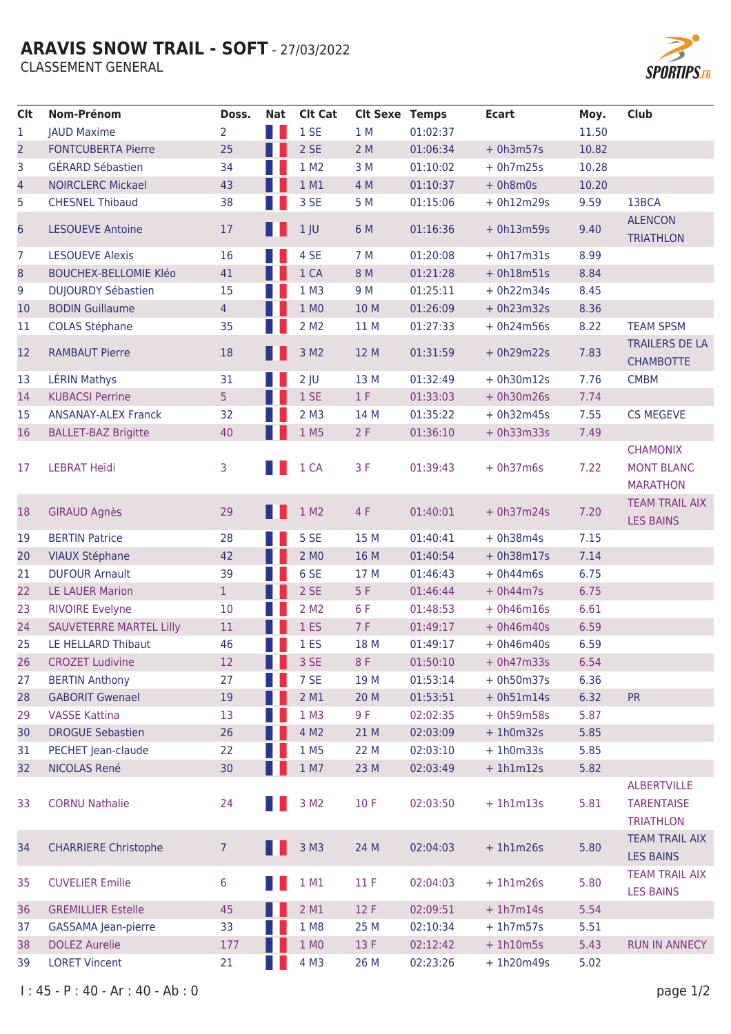# **ARAVIS SNOW TRAIL - SOFT - 27/03/2022**

**CLASSEMENT GENERAL** 



| <b>Clt</b>     | Nom-Prénom                     | Doss.           | Nat | <b>Clt Cat</b>     | <b>Clt Sexe Temps</b> |          | <b>Ecart</b> | Moy.  | <b>Club</b>                                                 |
|----------------|--------------------------------|-----------------|-----|--------------------|-----------------------|----------|--------------|-------|-------------------------------------------------------------|
| 1              | <b>JAUD Maxime</b>             | 2               |     | 1SE                | 1 M                   | 01:02:37 |              | 11.50 |                                                             |
| $\overline{2}$ | <b>FONTCUBERTA Pierre</b>      | 25              |     | 2 SE               | 2M                    | 01:06:34 | $+ 0h3m57s$  | 10.82 |                                                             |
| 3              | <b>GÉRARD Sébastien</b>        | 34              |     | 1 M2               | 3M                    | 01:10:02 | $+ 0h7m25s$  | 10.28 |                                                             |
| 4              | <b>NOIRCLERC Mickael</b>       | 43              |     | 1 M1               | 4 M                   | 01:10:37 | $+ 0h8m0s$   | 10.20 |                                                             |
| 5              | <b>CHESNEL Thibaud</b>         | 38              |     | 3 SE               | 5 M                   | 01:15:06 | $+ 0h12m29s$ | 9.59  | 13BCA                                                       |
| 6              | <b>LESOUEVE Antoine</b>        | 17              |     | 1 <sub>1</sub>     | 6 M                   | 01:16:36 | $+ 0h13m59s$ | 9.40  | <b>ALENCON</b><br><b>TRIATHLON</b>                          |
| 7              | <b>LESOUEVE Alexis</b>         | 16              |     | 4 SE               | 7 M                   | 01:20:08 | $+ 0h17m31s$ | 8.99  |                                                             |
| 8              | <b>BOUCHEX-BELLOMIE KIéo</b>   | 41              |     | 1 CA               | 8 M                   | 01:21:28 | $+ 0h18m51s$ | 8.84  |                                                             |
| 9              | <b>DUJOURDY Sébastien</b>      | 15              |     | $1$ M3             | 9 M                   | 01:25:11 | $+ 0h22m34s$ | 8.45  |                                                             |
| 10             | <b>BODIN Guillaume</b>         | $\overline{4}$  |     | 1 MO               | 10 M                  | 01:26:09 | $+ 0h23m32s$ | 8.36  |                                                             |
| 11             | <b>COLAS Stéphane</b>          | 35              |     | 2 M <sub>2</sub>   | 11 M                  | 01:27:33 | $+ 0h24m56s$ | 8.22  | <b>TEAM SPSM</b>                                            |
| 12             | <b>RAMBAUT Pierre</b>          | 18              |     | 3 M2               | 12 M                  | 01:31:59 | $+ 0h29m22s$ | 7.83  | <b>TRAILERS DE LA</b><br><b>CHAMBOTTE</b>                   |
| 13             | <b>LÉRIN Mathys</b>            | 31              |     | $2$ JU             | 13 M                  | 01:32:49 | $+ 0h30m12s$ | 7.76  | <b>CMBM</b>                                                 |
| 14             | <b>KUBACSI Perrine</b>         | 5               |     | 1 SE               | 1 F                   | 01:33:03 | $+ 0h30m26s$ | 7.74  |                                                             |
| 15             | <b>ANSANAY-ALEX Franck</b>     | 32              |     | $2$ M <sub>3</sub> | 14 M                  | 01:35:22 | $+ 0h32m45s$ | 7.55  | <b>CS MEGEVE</b>                                            |
| 16             | <b>BALLET-BAZ Brigitte</b>     | 40              |     | 1 M5               | 2F                    | 01:36:10 | $+ 0h33m33s$ | 7.49  |                                                             |
| 17             | <b>LEBRAT Heïdi</b>            | 3               |     | 1 CA               | 3F                    | 01:39:43 | $+ 0h37m6s$  | 7.22  | <b>CHAMONIX</b><br><b>MONT BLANC</b><br><b>MARATHON</b>     |
| 18             | <b>GIRAUD Agnès</b>            | 29              |     | 1 M2               | 4 F                   | 01:40:01 | $+ 0h37m24s$ | 7.20  | <b>TEAM TRAIL AIX</b><br><b>LES BAINS</b>                   |
| 19             | <b>BERTIN Patrice</b>          | 28              |     | 5 SE               | 15 M                  | 01:40:41 | $+ 0h38m4s$  | 7.15  |                                                             |
| 20             | <b>VIAUX Stéphane</b>          | 42              |     | 2 MO               | 16 M                  | 01:40:54 | $+ 0h38m17s$ | 7.14  |                                                             |
| 21             | <b>DUFOUR Arnault</b>          | 39              |     | 6 SE               | 17 M                  | 01:46:43 | $+ 0h44m6s$  | 6.75  |                                                             |
| 22             | <b>LE LAUER Marion</b>         | $\mathbf{1}$    |     | 2 SE               | 5F                    | 01:46:44 | $+ 0h44m7s$  | 6.75  |                                                             |
| 23             | <b>RIVOIRE Evelyne</b>         | 10              |     | 2 M <sub>2</sub>   | 6 F                   | 01:48:53 | $+ 0h46m16s$ | 6.61  |                                                             |
| 24             | <b>SAUVETERRE MARTEL Lilly</b> | 11              |     | 1 <sub>ES</sub>    | 7 F                   | 01:49:17 | $+ 0h46m40s$ | 6.59  |                                                             |
| 25             | LE HELLARD Thibaut             | 46              |     | 1 <sub>ES</sub>    | 18 M                  | 01:49:17 | $+ 0h46m40s$ | 6.59  |                                                             |
| 26             | <b>CROZET Ludivine</b>         | 12              |     | 3 SE               | 8F                    | 01:50:10 | $+ 0h47m33s$ | 6.54  |                                                             |
| 27             | <b>BERTIN Anthony</b>          | 27              |     | 7 SE               | 19 M                  | 01:53:14 | $+ 0h50m37s$ | 6.36  |                                                             |
| 28             | <b>GABORIT Gwenael</b>         | 19              |     | 2 M1               | 20 M                  | 01:53:51 | $+ 0h51m14s$ | 6.32  | <b>PR</b>                                                   |
| 29             | <b>VASSE Kattina</b>           | 13              |     | 1 M3               | 9F                    | 02:02:35 | $+ 0h59m58s$ | 5.87  |                                                             |
| 30             | <b>DROGUE Sebastien</b>        | 26              |     | 4 M2               | 21 M                  | 02:03:09 | $+1h0m32s$   | 5.85  |                                                             |
| 31             | PECHET Jean-claude             | 22              |     | 1 M <sub>5</sub>   | 22 M                  | 02:03:10 | $+1h0m33s$   | 5.85  |                                                             |
| 32             | NICOLAS René                   | 30 <sub>o</sub> |     | 1 M7               | 23 M                  | 02:03:49 | $+ 1h1m12s$  | 5.82  |                                                             |
| 33             | <b>CORNU Nathalie</b>          | 24              |     | 3 M <sub>2</sub>   | 10F                   | 02:03:50 | $+1h1m13s$   | 5.81  | <b>ALBERTVILLE</b><br><b>TARENTAISE</b><br><b>TRIATHLON</b> |
| 34             | <b>CHARRIERE Christophe</b>    | 7               |     | 3 M3               | 24 M                  | 02:04:03 | $+1h1m26s$   | 5.80  | <b>TEAM TRAIL AIX</b><br><b>LES BAINS</b>                   |
| 35             | <b>CUVELIER Emilie</b>         | 6               |     | 1 M1               | 11F                   | 02:04:03 | $+1h1m26s$   | 5.80  | <b>TEAM TRAIL AIX</b><br><b>LES BAINS</b>                   |
| 36             | <b>GREMILLIER Estelle</b>      | 45              |     | 2 M1               | 12 F                  | 02:09:51 | $+1h7m14s$   | 5.54  |                                                             |
| 37             | <b>GASSAMA</b> Jean-pierre     | 33              |     | 1 M8               | 25 M                  | 02:10:34 | $+ 1h7m57s$  | 5.51  |                                                             |
| 38             | <b>DOLEZ Aurelie</b>           | 177             |     | 1 MO               | 13 F                  | 02:12:42 | $+ 1h10m5s$  | 5.43  | <b>RUN IN ANNECY</b>                                        |
| 39             | <b>LORET Vincent</b>           | 21              |     | 4 M3               | 26 M                  | 02:23:26 | $+ 1h20m49s$ | 5.02  |                                                             |

 $1: 45 - P: 40 - Ar: 40 - Ab: 0$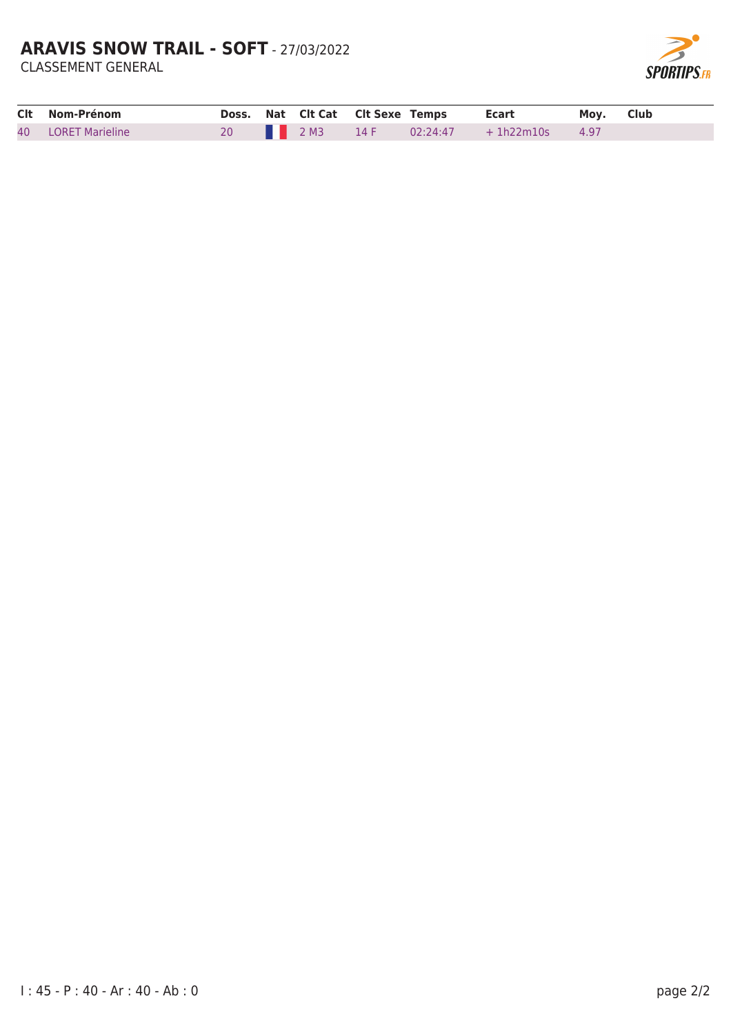# **ARAVIS SNOW TRAIL - SOFT - 27/03/2022**

**CLASSEMENT GENERAL** 



| Clt Nom-Prénom     |  |  | Doss. Nat Clt Cat Clt Sexe Temps Ecart Moy. Club |  |
|--------------------|--|--|--------------------------------------------------|--|
| 40 LORET Marieline |  |  | 20 2M3 14 F 02:24:47 + 1h22m10s 4.97             |  |